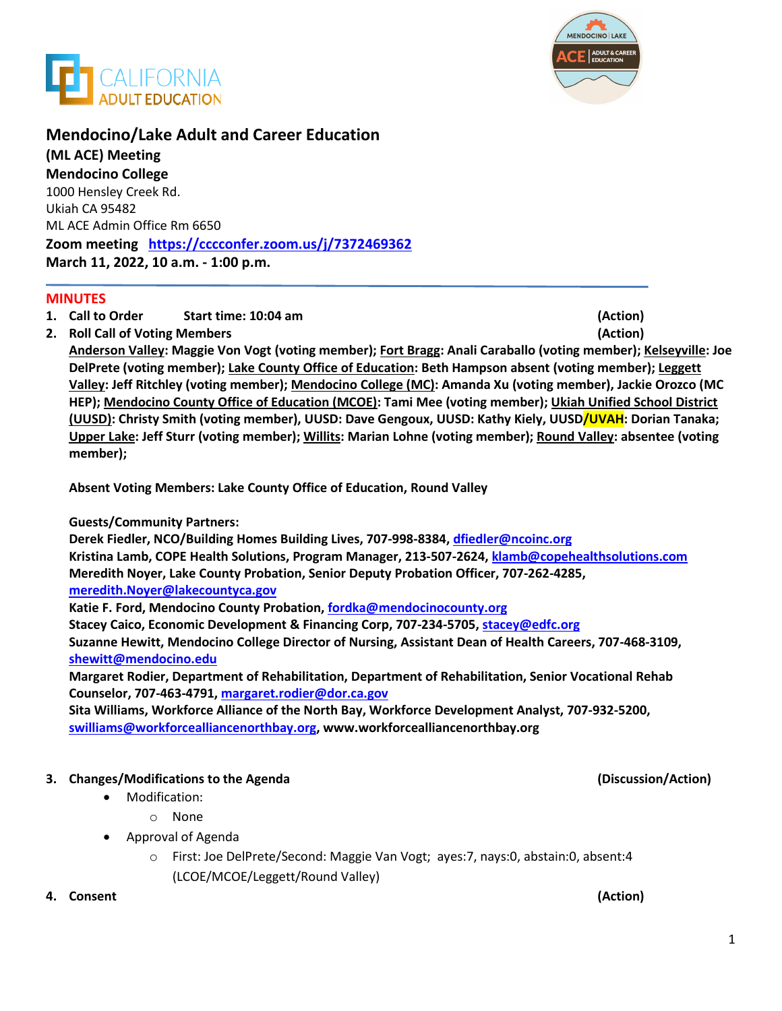



# **Mendocino/Lake Adult and Career Education**

**(ML ACE) Meeting Mendocino College**  1000 Hensley Creek Rd. Ukiah CA 95482 ML ACE Admin Office Rm 6650 **Zoom meeting <https://cccconfer.zoom.us/j/7372469362> March 11, 2022, 10 a.m. - 1:00 p.m.**

### **MINUTES**

- **1. Call to Order Start time: 10:04 am (Action)**
- **2. Roll Call of Voting Members (Action)**

**Anderson Valley: Maggie Von Vogt (voting member); Fort Bragg: Anali Caraballo (voting member); Kelseyville: Joe DelPrete (voting member); Lake County Office of Education: Beth Hampson absent (voting member); Leggett Valley: Jeff Ritchley (voting member); Mendocino College (MC): Amanda Xu (voting member), Jackie Orozco (MC HEP); Mendocino County Office of Education (MCOE): Tami Mee (voting member); Ukiah Unified School District (UUSD): Christy Smith (voting member), UUSD: Dave Gengoux, UUSD: Kathy Kiely, UUSD/UVAH: Dorian Tanaka; Upper Lake: Jeff Sturr (voting member); Willits: Marian Lohne (voting member); Round Valley: absentee (voting member);** 

**Absent Voting Members: Lake County Office of Education, Round Valley**

### **Guests/Community Partners:**

**Derek Fiedler, NCO/Building Homes Building Lives, 707-998-8384, dfiedler@ncoinc.org Kristina Lamb, COPE Health Solutions, Program Manager, 213-507-2624, [klamb@copehealthsolutions.com](mailto:klamb@copehealthsolutions.com) Meredith Noyer, Lake County Probation, Senior Deputy Probation Officer, 707-262-4285, meredith.Noyer@lakecountyca.gov**

**Katie F. Ford, Mendocino County Probation, fordka@mendocinocounty.org**

**Stacey Caico, Economic Development & Financing Corp, 707-234-5705, stacey@edfc.org**

**Suzanne Hewitt, Mendocino College Director of Nursing, Assistant Dean of Health Careers, 707-468-3109, [shewitt@mendocino.edu](mailto:shewitt@mendocino.edu)** 

**Margaret Rodier, Department of Rehabilitation, Department of Rehabilitation, Senior Vocational Rehab Counselor, 707-463-4791, margaret.rodier@dor.ca.gov**

**Sita Williams, Workforce Alliance of the North Bay, Workforce Development Analyst, 707-932-5200, [swilliams@workforcealliancenorthbay.org,](mailto:swilliams@workforcealliancenorthbay.org) [www.workforcealliancenorthbay.org](http://www.workforcealliancenorthbay.org/)**

## **3. Changes/Modifications to the Agenda (Discussion/Action)**

- Modification:
	- o None
- Approval of Agenda
	- o First: Joe DelPrete/Second: Maggie Van Vogt; ayes:7, nays:0, abstain:0, absent:4 (LCOE/MCOE/Leggett/Round Valley)

### **4. Consent (Action)**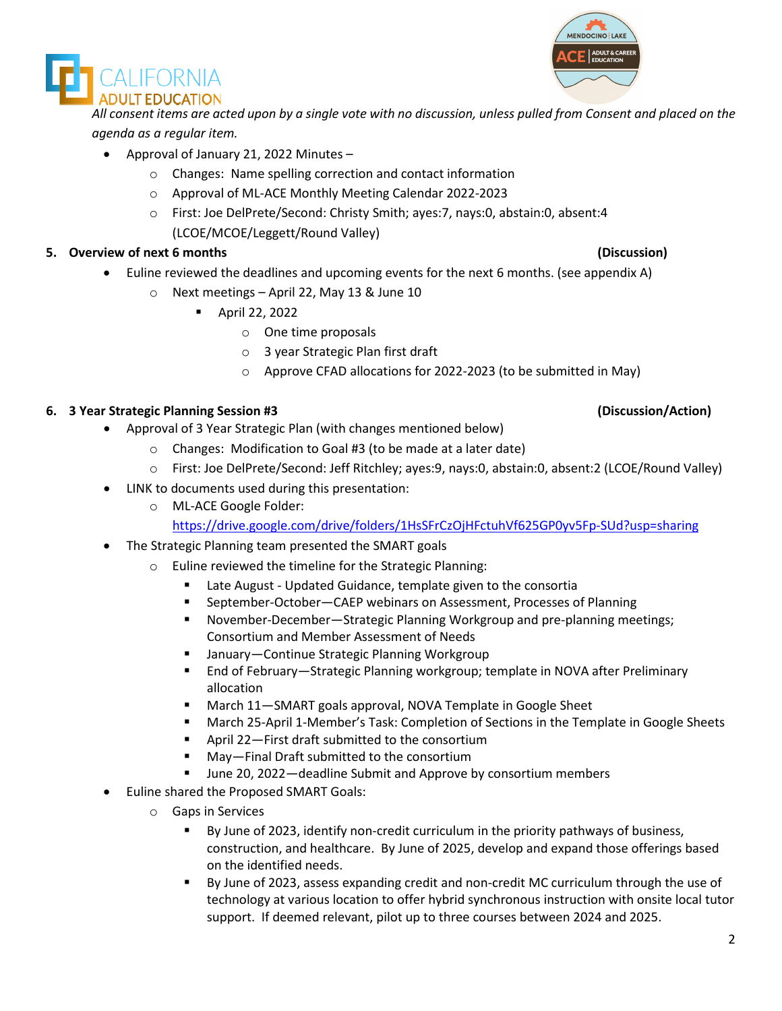



*All consent items are acted upon by a single vote with no discussion, unless pulled from Consent and placed on the agenda as a regular item.* 

- Approval of January 21, 2022 Minutes
	- o Changes: Name spelling correction and contact information
	- o Approval of ML-ACE Monthly Meeting Calendar 2022-2023
	- o First: Joe DelPrete/Second: Christy Smith; ayes:7, nays:0, abstain:0, absent:4 (LCOE/MCOE/Leggett/Round Valley)

## **5. Overview of next 6 months (Discussion)**

- Euline reviewed the deadlines and upcoming events for the next 6 months. (see appendix A)
	- o Next meetings April 22, May 13 & June 10
		- April 22, 2022
			- o One time proposals
			- o 3 year Strategic Plan first draft
			- o Approve CFAD allocations for 2022-2023 (to be submitted in May)

## **6. 3 Year Strategic Planning Session #3 (Discussion/Action)**

- Approval of 3 Year Strategic Plan (with changes mentioned below)
	- o Changes: Modification to Goal #3 (to be made at a later date)
	- o First: Joe DelPrete/Second: Jeff Ritchley; ayes:9, nays:0, abstain:0, absent:2 (LCOE/Round Valley)
- LINK to documents used during this presentation:
	- o ML-ACE Google Folder:

<https://drive.google.com/drive/folders/1HsSFrCzOjHFctuhVf625GP0yv5Fp-SUd?usp=sharing>

- The Strategic Planning team presented the SMART goals
	- o Euline reviewed the timeline for the Strategic Planning:
		- Late August Updated Guidance, template given to the consortia
		- September-October—CAEP webinars on Assessment, Processes of Planning
		- November-December—Strategic Planning Workgroup and pre-planning meetings; Consortium and Member Assessment of Needs
		- January—Continue Strategic Planning Workgroup
		- End of February—Strategic Planning workgroup; template in NOVA after Preliminary allocation
		- March 11—SMART goals approval, NOVA Template in Google Sheet
		- March 25-April 1-Member's Task: Completion of Sections in the Template in Google Sheets
		- April 22–First draft submitted to the consortium
		- May—Final Draft submitted to the consortium
		- June 20, 2022—deadline Submit and Approve by consortium members
- Euline shared the Proposed SMART Goals:
	- o Gaps in Services
		- By June of 2023, identify non-credit curriculum in the priority pathways of business, construction, and healthcare. By June of 2025, develop and expand those offerings based on the identified needs.
		- By June of 2023, assess expanding credit and non-credit MC curriculum through the use of technology at various location to offer hybrid synchronous instruction with onsite local tutor support. If deemed relevant, pilot up to three courses between 2024 and 2025.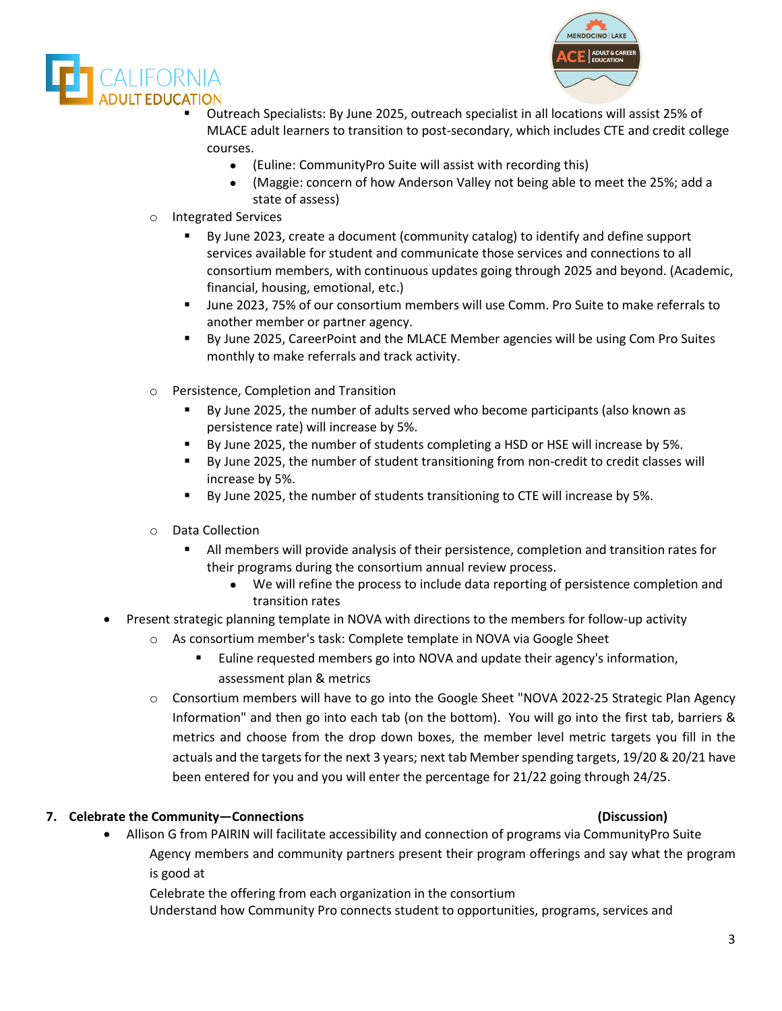



- Outreach Specialists: By June 2025, outreach specialist in all locations will assist 25% of MLACE adult learners to transition to post-secondary, which includes CTE and credit college courses.
	- (Euline: CommunityPro Suite will assist with recording this)
	- (Maggie: concern of how Anderson Valley not being able to meet the 25%; add a state of assess)
- o Integrated Services
	- By June 2023, create a document (community catalog) to identify and define support services available for student and communicate those services and connections to all consortium members, with continuous updates going through 2025 and beyond. (Academic, financial, housing, emotional, etc.)
	- June 2023, 75% of our consortium members will use Comm. Pro Suite to make referrals to another member or partner agency.
	- By June 2025, CareerPoint and the MLACE Member agencies will be using Com Pro Suites monthly to make referrals and track activity.
- o Persistence, Completion and Transition
	- By June 2025, the number of adults served who become participants (also known as persistence rate) will increase by 5%.
	- By June 2025, the number of students completing a HSD or HSE will increase by 5%.
	- By June 2025, the number of student transitioning from non-credit to credit classes will increase by 5%.
	- By June 2025, the number of students transitioning to CTE will increase by 5%.
- o Data Collection
	- All members will provide analysis of their persistence, completion and transition rates for their programs during the consortium annual review process.
		- We will refine the process to include data reporting of persistence completion and transition rates
- Present strategic planning template in NOVA with directions to the members for follow-up activity
	- o As consortium member's task: Complete template in NOVA via Google Sheet
		- Euline requested members go into NOVA and update their agency's information, assessment plan & metrics
	- o Consortium members will have to go into the Google Sheet "NOVA 2022-25 Strategic Plan Agency Information" and then go into each tab (on the bottom). You will go into the first tab, barriers & metrics and choose from the drop down boxes, the member level metric targets you fill in the actuals and the targets for the next 3 years; next tab Member spending targets, 19/20 & 20/21 have been entered for you and you will enter the percentage for 21/22 going through 24/25.

## **7. Celebrate the Community—Connections (Discussion)**

• Allison G from PAIRIN will facilitate accessibility and connection of programs via CommunityPro Suite Agency members and community partners present their program offerings and say what the program is good at

Celebrate the offering from each organization in the consortium

Understand how Community Pro connects student to opportunities, programs, services and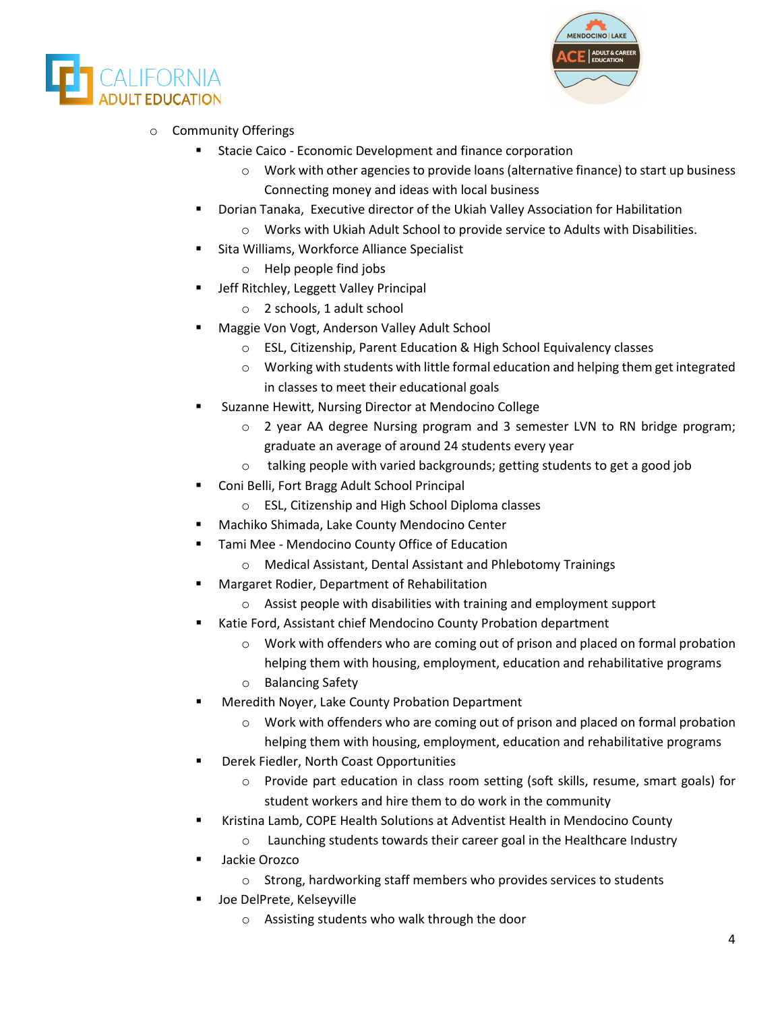



# o Community Offerings

- Stacie Caico Economic Development and finance corporation
	- $\circ$  Work with other agencies to provide loans (alternative finance) to start up business Connecting money and ideas with local business
- Dorian Tanaka, Executive director of the Ukiah Valley Association for Habilitation o Works with Ukiah Adult School to provide service to Adults with Disabilities.
- **EXECT:** Sita Williams, Workforce Alliance Specialist
	- o Help people find jobs
- Jeff Ritchley, Leggett Valley Principal
	- o 2 schools, 1 adult school
- Maggie Von Vogt, Anderson Valley Adult School
	- o ESL, Citizenship, Parent Education & High School Equivalency classes
	- $\circ$  Working with students with little formal education and helping them get integrated in classes to meet their educational goals
- Suzanne Hewitt, Nursing Director at Mendocino College
	- o 2 year AA degree Nursing program and 3 semester LVN to RN bridge program; graduate an average of around 24 students every year
	- o talking people with varied backgrounds; getting students to get a good job
- Coni Belli, Fort Bragg Adult School Principal
	- o ESL, Citizenship and High School Diploma classes
- Machiko Shimada, Lake County Mendocino Center
- Tami Mee Mendocino County Office of Education
	- o Medical Assistant, Dental Assistant and Phlebotomy Trainings
	- Margaret Rodier, Department of Rehabilitation
		- o Assist people with disabilities with training and employment support
- Katie Ford, Assistant chief Mendocino County Probation department
	- $\circ$  Work with offenders who are coming out of prison and placed on formal probation helping them with housing, employment, education and rehabilitative programs
	- o Balancing Safety
- Meredith Noyer, Lake County Probation Department
	- $\circ$  Work with offenders who are coming out of prison and placed on formal probation helping them with housing, employment, education and rehabilitative programs
- Derek Fiedler, North Coast Opportunities
	- o Provide part education in class room setting (soft skills, resume, smart goals) for student workers and hire them to do work in the community
- **E** Kristina Lamb, COPE Health Solutions at Adventist Health in Mendocino County
	- o Launching students towards their career goal in the Healthcare Industry
- Jackie Orozco
	- o Strong, hardworking staff members who provides services to students
- Joe DelPrete, Kelseyville
	- o Assisting students who walk through the door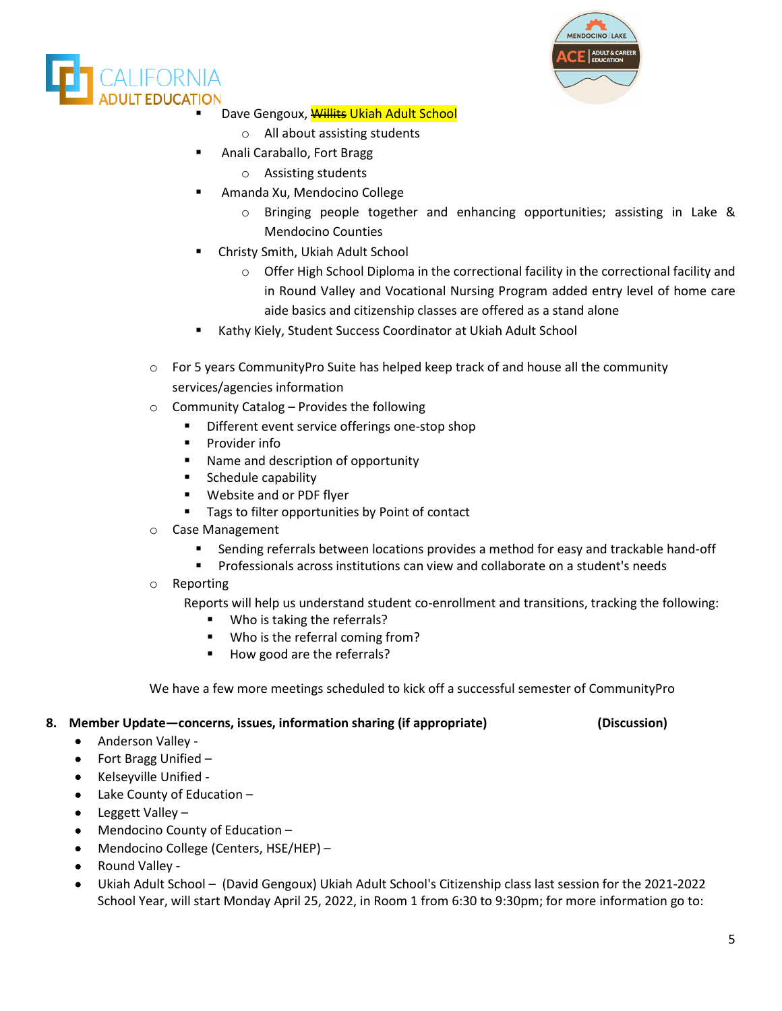



Dave Gengoux, Willits Ukiah Adult School

- o All about assisting students
- Anali Caraballo, Fort Bragg
	- o Assisting students
- Amanda Xu, Mendocino College
	- $\circ$  Bringing people together and enhancing opportunities; assisting in Lake & Mendocino Counties
- Christy Smith, Ukiah Adult School
	- $\circ$  Offer High School Diploma in the correctional facility in the correctional facility and in Round Valley and Vocational Nursing Program added entry level of home care aide basics and citizenship classes are offered as a stand alone
- Kathy Kiely, Student Success Coordinator at Ukiah Adult School
- $\circ$  For 5 years CommunityPro Suite has helped keep track of and house all the community services/agencies information
- $\circ$  Community Catalog Provides the following
	- **Different event service offerings one-stop shop**
	- **Provider info**
	- **Name and description of opportunity**
	- **Schedule capability**
	- Website and or PDF flyer
	- **Tags to filter opportunities by Point of contact**
- o Case Management
	- Sending referrals between locations provides a method for easy and trackable hand-off
	- Professionals across institutions can view and collaborate on a student's needs
- o Reporting
	- Reports will help us understand student co-enrollment and transitions, tracking the following:
		- Who is taking the referrals?
		- Who is the referral coming from?
		- How good are the referrals?

We have a few more meetings scheduled to kick off a successful semester of CommunityPro

### **8. Member Update—concerns, issues, information sharing (if appropriate) (Discussion)**

- Anderson Valley -
- Fort Bragg Unified –
- Kelseyville Unified -
- Lake County of Education –
- Leggett Valley –
- Mendocino County of Education –
- Mendocino College (Centers, HSE/HEP) –
- Round Valley -
- Ukiah Adult School (David Gengoux) Ukiah Adult School's Citizenship class last session for the 2021-2022 School Year, will start Monday April 25, 2022, in Room 1 from 6:30 to 9:30pm; for more information go to: